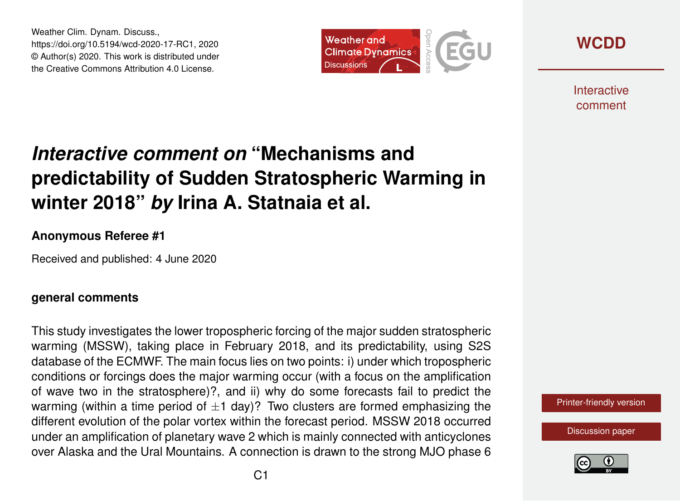Weather Clim. Dynam. Discuss., https://doi.org/10.5194/wcd-2020-17-RC1, 2020 © Author(s) 2020. This work is distributed under the Creative Commons Attribution 4.0 License.



**[WCDD](https://wcd.copernicus.org/preprints/)**

**Interactive** comment

# *Interactive comment on* **"Mechanisms and predictability of Sudden Stratospheric Warming in winter 2018"** *by* **Irina A. Statnaia et al.**

#### **Anonymous Referee #1**

Received and published: 4 June 2020

#### **general comments**

This study investigates the lower tropospheric forcing of the major sudden stratospheric warming (MSSW), taking place in February 2018, and its predictability, using S2S database of the ECMWF. The main focus lies on two points: i) under which tropospheric conditions or forcings does the major warming occur (with a focus on the amplification of wave two in the stratosphere)?, and ii) why do some forecasts fail to predict the warming (within a time period of  $\pm 1$  day)? Two clusters are formed emphasizing the different evolution of the polar vortex within the forecast period. MSSW 2018 occurred under an amplification of planetary wave 2 which is mainly connected with anticyclones over Alaska and the Ural Mountains. A connection is drawn to the strong MJO phase 6

[Printer-friendly version](https://wcd.copernicus.org/preprints/wcd-2020-17/wcd-2020-17-RC1-print.pdf)

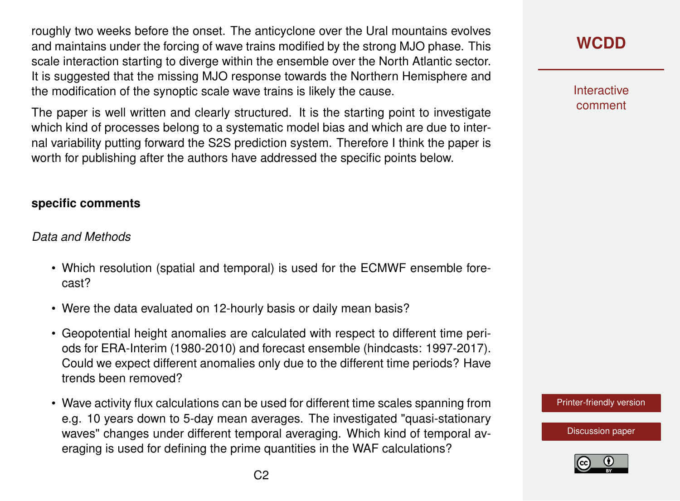roughly two weeks before the onset. The anticyclone over the Ural mountains evolves and maintains under the forcing of wave trains modified by the strong MJO phase. This scale interaction starting to diverge within the ensemble over the North Atlantic sector. It is suggested that the missing MJO response towards the Northern Hemisphere and the modification of the synoptic scale wave trains is likely the cause.

The paper is well written and clearly structured. It is the starting point to investigate which kind of processes belong to a systematic model bias and which are due to internal variability putting forward the S2S prediction system. Therefore I think the paper is worth for publishing after the authors have addressed the specific points below.

#### **specific comments**

#### *Data and Methods*

- Which resolution (spatial and temporal) is used for the ECMWF ensemble forecast?
- Were the data evaluated on 12-hourly basis or daily mean basis?
- Geopotential height anomalies are calculated with respect to different time periods for ERA-Interim (1980-2010) and forecast ensemble (hindcasts: 1997-2017). Could we expect different anomalies only due to the different time periods? Have trends been removed?
- Wave activity flux calculations can be used for different time scales spanning from e.g. 10 years down to 5-day mean averages. The investigated "quasi-stationary waves" changes under different temporal averaging. Which kind of temporal averaging is used for defining the prime quantities in the WAF calculations?

**Interactive** comment

[Printer-friendly version](https://wcd.copernicus.org/preprints/wcd-2020-17/wcd-2020-17-RC1-print.pdf)

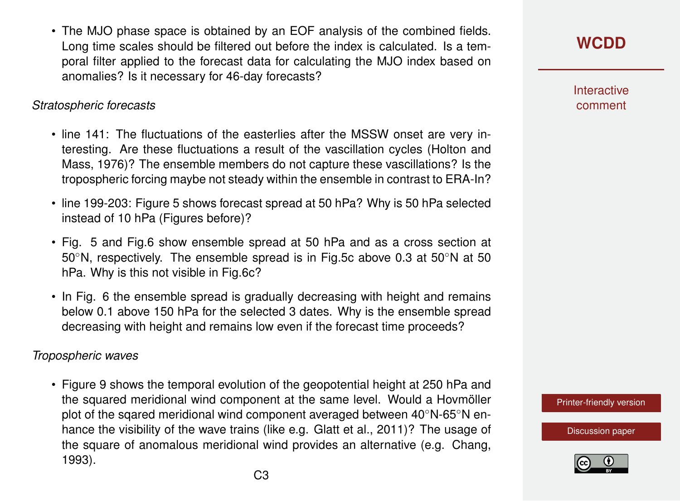• The MJO phase space is obtained by an EOF analysis of the combined fields. Long time scales should be filtered out before the index is calculated. Is a temporal filter applied to the forecast data for calculating the MJO index based on anomalies? Is it necessary for 46-day forecasts?

#### *Stratospheric forecasts*

- line 141: The fluctuations of the easterlies after the MSSW onset are very interesting. Are these fluctuations a result of the vascillation cycles (Holton and Mass, 1976)? The ensemble members do not capture these vascillations? Is the tropospheric forcing maybe not steady within the ensemble in contrast to ERA-In?
- line 199-203: Figure 5 shows forecast spread at 50 hPa? Why is 50 hPa selected instead of 10 hPa (Figures before)?
- Fig. 5 and Fig.6 show ensemble spread at 50 hPa and as a cross section at 50◦N, respectively. The ensemble spread is in Fig.5c above 0.3 at 50◦N at 50 hPa. Why is this not visible in Fig.6c?
- In Fig. 6 the ensemble spread is gradually decreasing with height and remains below 0.1 above 150 hPa for the selected 3 dates. Why is the ensemble spread decreasing with height and remains low even if the forecast time proceeds?

### *Tropospheric waves*

• Figure 9 shows the temporal evolution of the geopotential height at 250 hPa and the squared meridional wind component at the same level. Would a Hovmöller plot of the sqared meridional wind component averaged between 40◦N-65◦N enhance the visibility of the wave trains (like e.g. Glatt et al., 2011)? The usage of the square of anomalous meridional wind provides an alternative (e.g. Chang, 1993).

**Interactive** comment

[Printer-friendly version](https://wcd.copernicus.org/preprints/wcd-2020-17/wcd-2020-17-RC1-print.pdf)